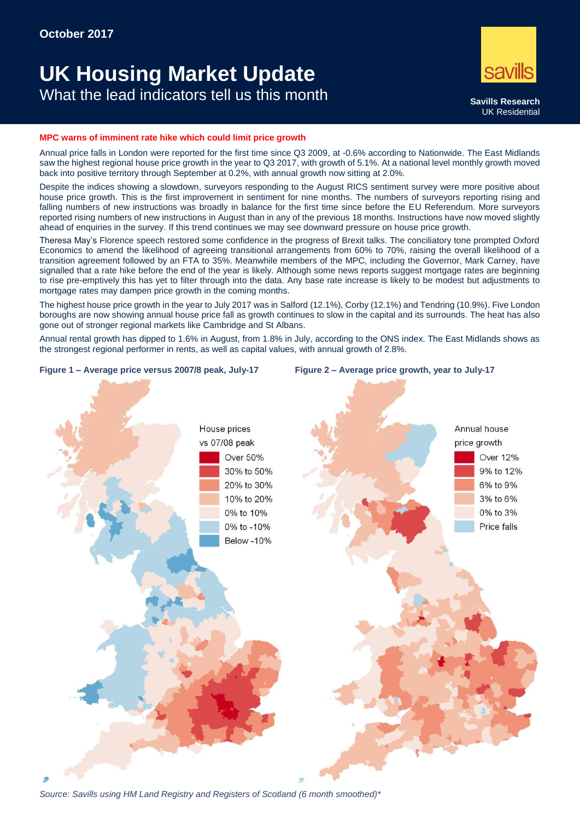# **UK Housing Market Update** What the lead indicators tell us this month **Savills Research**



#### **MPC warns of imminent rate hike which could limit price growth**

Annual price falls in London were reported for the first time since Q3 2009, at -0.6% according to Nationwide. The East Midlands saw the highest regional house price growth in the year to Q3 2017, with growth of 5.1%. At a national level monthly growth moved back into positive territory through September at 0.2%, with annual growth now sitting at 2.0%.

Despite the indices showing a slowdown, surveyors responding to the August RICS sentiment survey were more positive about house price growth. This is the first improvement in sentiment for nine months. The numbers of surveyors reporting rising and falling numbers of new instructions was broadly in balance for the first time since before the EU Referendum. More surveyors reported rising numbers of new instructions in August than in any of the previous 18 months. Instructions have now moved slightly ahead of enquiries in the survey. If this trend continues we may see downward pressure on house price growth.

Theresa May's Florence speech restored some confidence in the progress of Brexit talks. The conciliatory tone prompted Oxford Economics to amend the likelihood of agreeing transitional arrangements from 60% to 70%, raising the overall likelihood of a transition agreement followed by an FTA to 35%. Meanwhile members of the MPC, including the Governor, Mark Carney, have signalled that a rate hike before the end of the year is likely. Although some news reports suggest mortgage rates are beginning to rise pre-emptively this has yet to filter through into the data. Any base rate increase is likely to be modest but adjustments to mortgage rates may dampen price growth in the coming months.

The highest house price growth in the year to July 2017 was in Salford (12.1%), Corby (12.1%) and Tendring (10.9%). Five London boroughs are now showing annual house price fall as growth continues to slow in the capital and its surrounds. The heat has also gone out of stronger regional markets like Cambridge and St Albans.

Annual rental growth has dipped to 1.6% in August, from 1.8% in July, according to the ONS index. The East Midlands shows as the strongest regional performer in rents, as well as capital values, with annual growth of 2.8%.







*Source: Savills using HM Land Registry and Registers of Scotland (6 month smoothed)\**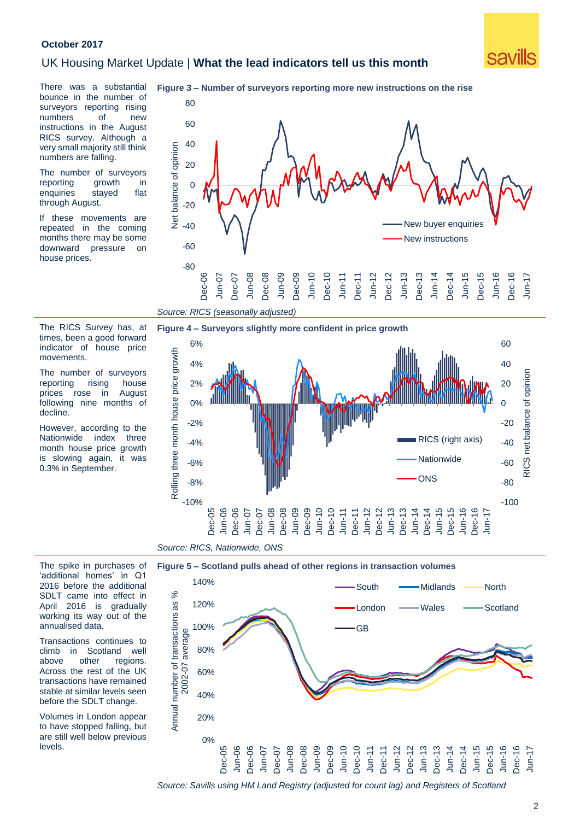#### **October 2017**

### UK Housing Market Update | **What the lead indicators tell us this month**



There was a substantial bounce in the number of surveyors reporting rising numbers of new instructions in the August RICS survey. Although a very small majority still think numbers are falling.

The number of surveyors reporting growth in enquiries stayed flat through August.

If these movements are repeated in the coming months there may be some downward pressure on house prices.

The RICS Survey has, at times, been a good forward indicator of house price

The number of surveyors reporting rising house prices rose in August following nine months of

However, according to the Nationwide index three month house price growth is slowing again, it was 0.3% in September.

movements.

decline.





*Source: RICS, Nationwide, ONS*

*Source: RICS (seasonally adjusted)*

The spike in purchases of 'additional homes' in Q1 2016 before the additional SDLT came into effect in April 2016 is gradually working its way out of the annualised data.

Transactions continues to climb in Scotland well above other regions. Across the rest of the UK transactions have remained stable at similar levels seen before the SDLT change.

Volumes in London appear to have stopped falling, but are still well below previous levels.



*Source: Savills using HM Land Registry (adjusted for count lag) and Registers of Scotland*

# **Figure 3 – Number of surveyors reporting more new instructions on the rise**